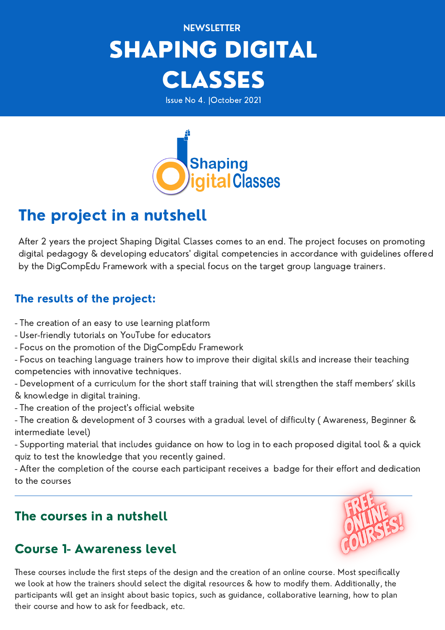# **NEWSLETTER** SHAPING DIGITAL CLASSES

Issue No 4. |October 2021



### The project in a nutshell

After 2 years the project Shaping Digital Classes comes to an end. The project focuses on promoting digital pedagogy & developing educators' digital competencies in accordance with guidelines offered by the DigCompEdu Framework with a special focus on the target group language trainers.

#### The results of the project:

- The creation of an easy to use learning platform
- User-friendly tutorials on YouTube for educators
- Focus on the promotion of the DigCompEdu Framework
- Focus on teaching language trainers how to improve their digital skills and increase their teaching competencies with innovative techniques.
- Development of a curriculum for the short staff training that will strengthen the staff members' skills & knowledge in digital training.
- The creation of the project's official website
- The creation & development of 3 courses with a gradual level of difficulty ( Awareness, Beginner & intermediate level)
- Supporting material that includes guidance on how to log in to each proposed digital tool & a quick quiz to test the knowledge that you recently gained.
- After the completion of the course each participant receives a badge for their effort and dedication to the courses

### The courses in a nutshell

### Course 1- Awareness level



These courses include the first steps of the design and the creation of an online course. Most specifically we look at how the trainers should select the digital resources & how to modify them. Additionally, the participants will get an insight about basic topics, such as guidance, collaborative learning, how to plan their course and how to ask for feedback, etc.